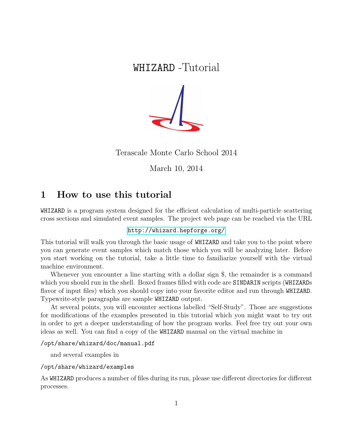# WHIZARD -Tutorial



Terascale Monte Carlo School 2014

March 10, 2014

## 1 How to use this tutorial

WHIZARD is a program system designed for the efficient calculation of multi-particle scattering cross sections and simulated event samples. The project web page can be reached via the URL

#### <http://whizard.hepforge.org/>

This tutorial will walk you through the basic usage of WHIZARD and take you to the point where you can generate event samples which match those which you will be analyzing later. Before you start working on the tutorial, take a little time to familiarize yourself with the virtual machine environment.

Whenever you encounter a line starting with a dollar sign \$, the remainder is a command which you should run in the shell. Boxed frames filled with code are SINDARIN scripts (WHIZARDs flavor of input files) which you should copy into your favorite editor and run through WHIZARD. Typewrite-style paragraphs are sample WHIZARD output.

At several points, you will encounter sections labelled "Self-Study". Those are suggestions for modifications of the examples presented in this tutorial which you might want to try out in order to get a deeper understanding of how the program works. Feel free try out your own ideas as well. You can find a copy of the WHIZARD manual on the virtual machine in

#### /opt/share/whizard/doc/manual.pdf

and several examples in

#### /opt/share/whizard/examples

As WHIZARD produces a number of files during its run, please use different directories for different processes.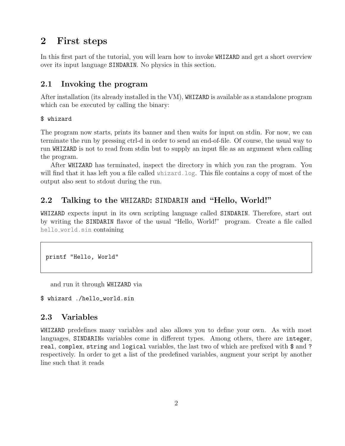## 2 First steps

In this first part of the tutorial, you will learn how to invoke WHIZARD and get a short overview over its input language SINDARIN. No physics in this section.

## 2.1 Invoking the program

After installation (its already installed in the VM), WHIZARD is available as a standalone program which can be executed by calling the binary:

#### \$ whizard

The program now starts, prints its banner and then waits for input on stdin. For now, we can terminate the run by pressing ctrl-d in order to send an end-of-file. Of course, the usual way to run WHIZARD is not to read from stdin but to supply an input file as an argument when calling the program.

After WHIZARD has terminated, inspect the directory in which you ran the program. You will find that it has left you a file called whizard.log. This file contains a copy of most of the output also sent to stdout during the run.

## 2.2 Talking to the WHIZARD: SINDARIN and "Hello, World!"

WHIZARD expects input in its own scripting language called SINDARIN. Therefore, start out by writing the SINDARIN flavor of the usual "Hello, World!" program. Create a file called hello world.sin containing

```
printf "Hello, World"
```
and run it through WHIZARD via

\$ whizard ./hello\_world.sin

## 2.3 Variables

WHIZARD predefines many variables and also allows you to define your own. As with most languages, SINDARINs variables come in different types. Among others, there are integer, real, complex, string and logical variables, the last two of which are prefixed with \$ and ? respectively. In order to get a list of the predefined variables, augment your script by another line such that it reads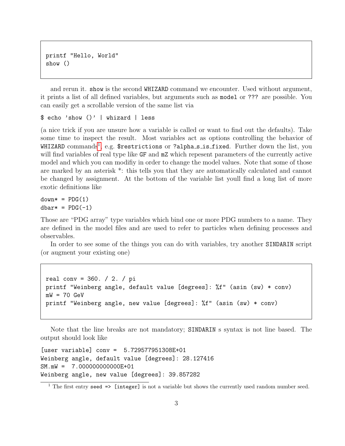printf "Hello, World" show ()

and rerun it. show is the second WHIZARD command we encounter. Used without argument, it prints a list of all defined variables, but arguments such as model or ??? are possible. You can easily get a scrollable version of the same list via

\$ echo 'show ()' | whizard | less

(a nice trick if you are unsure how a variable is called or want to find out the defaults). Take some time to inspect the result. Most variables act as options controlling the behavior of WHIZARD commands $^1$  $^1$ , e.g. \$restrictions or ?alpha\_s\_is\_fixed. Further down the list, you will find variables of real type like GF and  $mZ$  which repesent parameters of the currently active model and which you can modifiy in order to change the model values. Note that some of those are marked by an asterisk \*: this tells you that they are automatically calculated and cannot be changed by assignment. At the bottom of the variable list youll find a long list of more exotic definitions like

 $down* = PDG(1)$  $dbar* = PDG(-1)$ 

Those are "PDG array" type variables which bind one or more PDG numbers to a name. They are defined in the model files and are used to refer to particles when defining processes and observables.

In order to see some of the things you can do with variables, try another SINDARIN script (or augment your existing one)

```
real conv = 360. / 2. / pi
printf "Weinberg angle, default value [degrees]: %f" (asin (sw) * conv)
mW = 70 GeV
printf "Weinberg angle, new value [degrees]: %f" (asin (sw) * conv)
```
Note that the line breaks are not mandatory; SINDARIN s syntax is not line based. The output should look like

[user variable] conv = 5.729577951308E+01 Weinberg angle, default value [degrees]: 28.127416 SM.mW = 7.000000000000E+01 Weinberg angle, new value [degrees]: 39.857282

<span id="page-2-0"></span><sup>&</sup>lt;sup>1</sup> The first entry seed  $\Rightarrow$  [integer] is not a variable but shows the currently used random number seed.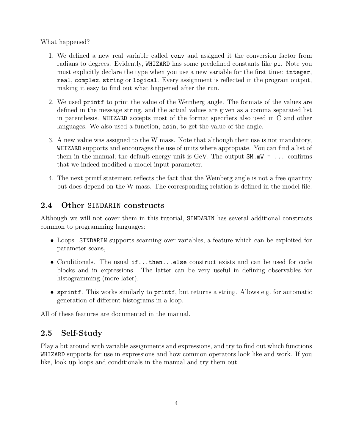What happened?

- 1. We defined a new real variable called conv and assigned it the conversion factor from radians to degrees. Evidently, WHIZARD has some predefined constants like pi. Note you must explicitly declare the type when you use a new variable for the first time: integer, real, complex, string or logical. Every assignment is reflected in the program output, making it easy to find out what happened after the run.
- 2. We used printf to print the value of the Weinberg angle. The formats of the values are defined in the message string, and the actual values are given as a comma separated list in parenthesis. WHIZARD accepts most of the format specifiers also used in C and other languages. We also used a function, asin, to get the value of the angle.
- 3. A new value was assigned to the W mass. Note that although their use is not mandatory, WHIZARD supports and encourages the use of units where appropiate. You can find a list of them in the manual; the default energy unit is GeV. The output  $SM.mW = \ldots$  confirms that we indeed modified a model input parameter.
- 4. The next printf statement reflects the fact that the Weinberg angle is not a free quantity but does depend on the W mass. The corresponding relation is defined in the model file.

## 2.4 Other SINDARIN constructs

Although we will not cover them in this tutorial, SINDARIN has several additional constructs common to programming languages:

- Loops. SINDARIN supports scanning over variables, a feature which can be exploited for parameter scans,
- Conditionals. The usual if...then...else construct exists and can be used for code blocks and in expressions. The latter can be very useful in defining observables for histogramming (more later).
- sprintf. This works similarly to printf, but returns a string. Allows e.g. for automatic generation of different histograms in a loop.

All of these features are documented in the manual.

## 2.5 Self-Study

Play a bit around with variable assignments and expressions, and try to find out which functions WHIZARD supports for use in expressions and how common operators look like and work. If you like, look up loops and conditionals in the manual and try them out.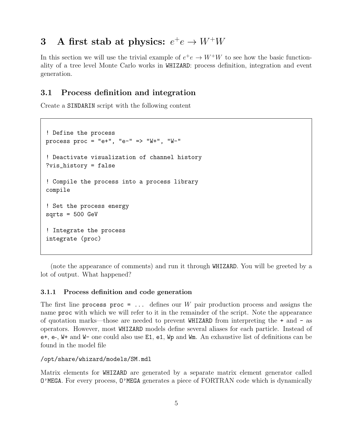# 3 A first stab at physics:  $e^+e \rightarrow W^+W$

In this section we will use the trivial example of  $e^+e \to W^+W$  to see how the basic functionality of a tree level Monte Carlo works in WHIZARD: process definition, integration and event generation.

## 3.1 Process definition and integration

Create a SINDARIN script with the following content

```
! Define the process
process proc = "e+", "e-" => "W+", "W-"
! Deactivate visualization of channel history
?vis_history = false
! Compile the process into a process library
compile
! Set the process energy
sqrts = 500 GeV! Integrate the process
integrate (proc)
```
(note the appearance of comments) and run it through WHIZARD. You will be greeted by a lot of output. What happened?

#### 3.1.1 Process definition and code generation

The first line process proc =  $\dots$  defines our W pair production process and assigns the name proc with which we will refer to it in the remainder of the script. Note the appearance of quotation marks—those are needed to prevent WHIZARD from interpreting the + and - as operators. However, most WHIZARD models define several aliases for each particle. Instead of e+, e-, W+ and W- one could also use E1, e1, Wp and Wm. An exhaustive list of definitions can be found in the model file

/opt/share/whizard/models/SM.mdl

Matrix elements for WHIZARD are generated by a separate matrix element generator called O'MEGA. For every process, O'MEGA generates a piece of FORTRAN code which is dynamically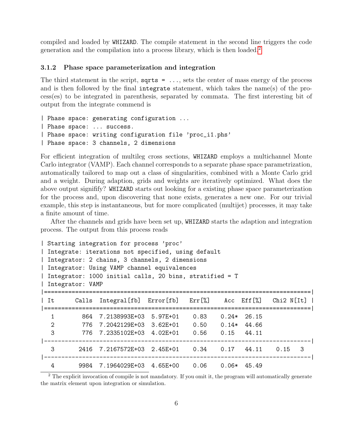compiled and loaded by WHIZARD. The compile statement in the second line triggers the code generation and the compilation into a process library, which is then loaded.[2](#page-5-0)

#### 3.1.2 Phase space parameterization and integration

The third statement in the script,  $sqrt{s}$  = ..., sets the center of mass energy of the process and is then followed by the final integrate statement, which takes the name(s) of the process(es) to be integrated in parenthesis, separated by commata. The first interesting bit of output from the integrate commend is

```
| Phase space: generating configuration ...
| Phase space: ... success.
| Phase space: writing configuration file 'proc_i1.phs'
| Phase space: 3 channels, 2 dimensions
```
For efficient integration of multileg cross sections, WHIZARD employs a multichannel Monte Carlo integrator (VAMP). Each channel corresponds to a separate phase space parametrization, automatically tailored to map out a class of singularities, combined with a Monte Carlo grid and a weight. During adaption, grids and weights are iteratively optimized. What does the above output signifify? WHIZARD starts out looking for a existing phase space parameterization for the process and, upon discovering that none exists, generates a new one. For our trivial example, this step is instantaneous, but for more complicated (multijet) processes, it may take a finite amount of time.

After the channels and grids have been set up, WHIZARD starts the adaption and integration process. The output from this process reads

```
| Starting integration for process 'proc'
| Integrate: iterations not specified, using default
| Integrator: 2 chains, 3 channels, 2 dimensions
| Integrator: Using VAMP channel equivalences
| Integrator: 1000 initial calls, 20 bins, stratified = T
| Integrator: VAMP
|=============================================================================|
| It Calls Integral[fb] Error[fb] Err[%] Acc Eff[%] Chi2 N[It] |
|=============================================================================|
  1 864 7.2138993E+03 5.97E+01 0.83 0.24* 26.15
  2 776 7.2042129E+03 3.62E+01 0.50 0.14* 44.66
  3 776 7.2335102E+03 4.02E+01 0.56 0.15 44.11
|-----------------------------------------------------------------------------|
  3 2416 7.2167572E+03 2.45E+01 0.34 0.17 44.11 0.15 3
|-----------------------------------------------------------------------------|
  4 9984 7.1964029E+03 4.65E+00 0.06 0.06* 45.49
```
<span id="page-5-0"></span><sup>2</sup> The explicit invocation of compile is not mandatory. If you omit it, the program will automatically generate the matrix element upon integration or simulation.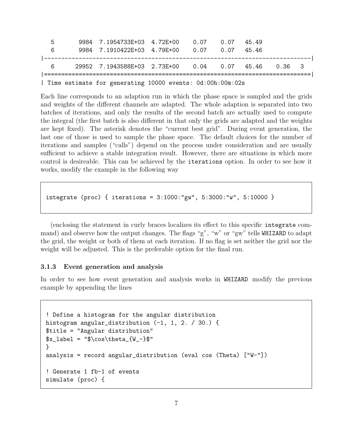| ۰. | 9984 7.1954733E+03 4.72E+00 0.07                    |      | 0.07 | 4549 |  |
|----|-----------------------------------------------------|------|------|------|--|
| 6  | 9984 7.1910422E+03 4.79E+00                         | 0.07 | 0.07 | 4546 |  |
|    |                                                     |      |      |      |  |
| 6  | 29952 7.1943588E+03 2.73E+00 0.04 0.07 45.46 0.36 3 |      |      |      |  |
|    |                                                     |      |      |      |  |

| Time estimate for generating 10000 events: 0d:00h:00m:02s

Each line corresponds to an adaption run in which the phase space is sampled and the grids and weights of the different channels are adapted. The whole adaption is separated into two batches of iterations, and only the results of the second batch are actually used to compute the integral (the first batch is also different in that only the grids are adapted and the weights are kept fixed). The asterisk denotes the "current best grid". During event generation, the last one of those is used to sample the phase space. The default choices for the number of iterations and samples ("calls") depend on the process under consideration and are usually sufficient to achieve a stable integration result. However, there are situations in which more control is desireable. This can be achieved by the iterations option. In order to see how it works, modify the example in the following way

integrate (proc) { iterations = 3:1000:"gw", 5:3000:"w", 5:10000 }

(enclosing the statement in curly braces localizes its effect to this specific integrate command) and observe how the output changes. The flags "g", "w" or "gw" tells WHIZARD to adapt the grid, the weight or both of them at each iteration. If no flag is set neither the grid nor the weight will be adjusted. This is the preferable option for the final run.

#### 3.1.3 Event generation and analysis

In order to see how event generation and analysis works in WHIZARD modify the previous example by appending the lines

```
! Define a histogram for the angular distribution
histogram angular_distribution (-1, 1, 2. / 30.) {
$title = "Angular distribution"
x_{1abc1} = " \cos \theta_{W_-}$"
}
analysis = record angular_distribution (eval cos (Theta) ["W-"])
! Generate 1 fb-1 of events
simulate (proc) {
```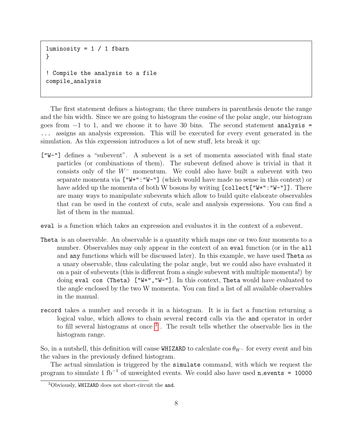```
luminosity = 1 / 1 fbarn
}
! Compile the analysis to a file
compile_analysis
```
The first statement defines a histogram; the three numbers in parenthesis denote the range and the bin width. Since we are going to histogram the cosine of the polar angle, our histogram goes from  $-1$  to 1, and we choose it to have 30 bins. The second statement analysis = ... assigns an analysis expression. This will be executed for every event generated in the simulation. As this expression introduces a lot of new stuff, lets break it up:

- ["W-"] defines a "subevent". A subevent is a set of momenta associated with final state particles (or combinations of them). The subevent defined above is trivial in that it consists only of the  $W^-$  momentum. We could also have built a subevent with two separate momenta via ["W+":"W-"] (which would have made no sense in this context) or have added up the momenta of both W bosons by writing [collect["W+":"W-"]]. There are many ways to manipulate subevents which allow to build quite elaborate observables that can be used in the context of cuts, scale and analysis expressions. You can find a list of them in the manual.
- eval is a function which takes an expression and evaluates it in the context of a subevent.
- Theta is an observable. An observable is a quantity which maps one or two four momenta to a number. Observables may only appear in the context of an **eval** function (or in the **all** and any functions which will be discussed later). In this example, we have used Theta as a unary observable, thus calculating the polar angle, but we could also have evaluated it on a pair of subevents (this is different from a single subevent with multiple momenta!) by doing eval cos (Theta) ["W+","W-"]. In this context, Theta would have evaluated to the angle enclosed by the two W momenta. You can find a list of all available observables in the manual.
- record takes a number and records it in a histogram. It is in fact a function returning a logical value, which allows to chain several record calls via the and operator in order to fill several histograms at once <sup>[3](#page-7-0)</sup>. The result tells whether the observable lies in the histogram range.

So, in a nutshell, this definition will cause WHIZARD to calculate  $\cos \theta_{W}$ − for every event and bin the values in the previously defined histogram.

The actual simulation is triggered by the simulate command, with which we request the program to simulate 1 fb<sup>-1</sup> of unweighted events. We could also have used n\_events = 10000

<span id="page-7-0"></span><sup>3</sup>Obviously, WHIZARD does not short-circuit the and.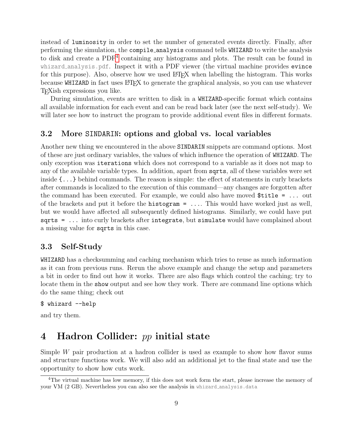instead of luminosity in order to set the number of generated events directly. Finally, after performing the simulation, the compile analysis command tells WHIZARD to write the analysis to disk and create a PDF<sup>[4](#page-8-0)</sup> containing any histograms and plots. The result can be found in whizard analysis.pdf. Inspect it with a PDF viewer (the virtual machine provides evince for this purpose). Also, observe how we used LATEX when labelling the histogram. This works because WHIZARD in fact uses LAT<sub>EX</sub> to generate the graphical analysis, so you can use whatever TEXish expressions you like.

During simulation, events are written to disk in a WHIZARD-specific format which contains all available information for each event and can be read back later (see the next self-study). We will later see how to instruct the program to provide additional event files in different formats.

### 3.2 More SINDARIN: options and global vs. local variables

Another new thing we encountered in the above SINDARIN snippets are command options. Most of these are just ordinary variables, the values of which influence the operation of WHIZARD. The only exception was iterations which does not correspond to a variable as it does not map to any of the available variable types. In addition, apart from sqrts, all of these variables were set inside {...} behind commands. The reason is simple: the effect of statements in curly brackets after commands is localized to the execution of this command—any changes are forgotten after the command has been executed. For example, we could also have moved \$title = ... out of the brackets and put it before the histogram = .... This would have worked just as well, but we would have affected all subsequently defined histograms. Similarly, we could have put sqrts = ... into curly brackets after integrate, but simulate would have complained about a missing value for sqrts in this case.

### 3.3 Self-Study

WHIZARD has a checksumming and caching mechanism which tries to reuse as much information as it can from previous runs. Rerun the above example and change the setup and parameters a bit in order to find out how it works. There are also flags which control the caching; try to locate them in the show output and see how they work. There are command line options which do the same thing; check out

```
$ whizard --help
```
and try them.

## 4 Hadron Collider: pp initial state

Simple  $W$  pair production at a hadron collider is used as example to show how flavor sums and structure functions work. We will also add an additional jet to the final state and use the opportunity to show how cuts work.

<span id="page-8-0"></span><sup>4</sup>The virtual machine has low memory, if this does not work form the start, please increase the memory of your VM (2 GB). Nevertheless you can also see the analysis in whizard analysis.data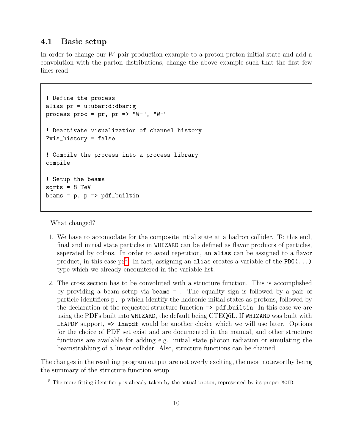### 4.1 Basic setup

In order to change our W pair production example to a proton-proton initial state and add a convolution with the parton distributions, change the above example such that the first few lines read

```
! Define the process
alias pr = u: ubar:d: dbar:gprocess proc = pr, pr => "W+", "W-"
! Deactivate visualization of channel history
?vis_history = false
! Compile the process into a process library
compile
! Setup the beams
sarts = 8 TeVbeams = p, p \Rightarrow pdf\_builtin
```
What changed?

- 1. We have to accomodate for the composite intial state at a hadron collider. To this end, final and initial state particles in WHIZARD can be defined as flavor products of particles, seperated by colons. In order to avoid repetition, an alias can be assigned to a flavor product, in this case  $pr^5$  $pr^5$ . In fact, assigning an alias creates a variable of the PDG(...) type which we already encountered in the variable list.
- 2. The cross section has to be convoluted with a structure function. This is accomplished by providing a beam setup via beams = . The equality sign is followed by a pair of particle identifiers p, p which identify the hadronic initial states as protons, followed by the declaration of the requested structure function => pdf builtin. In this case we are using the PDFs built into WHIZARD, the default being CTEQ6L. If WHIZARD was built with LHAPDF support,  $\Rightarrow$  lhapdf would be another choice which we will use later. Options for the choice of PDF set exist and are documented in the manual, and other structure functions are available for adding e.g. initial state photon radiation or simulating the beamstrahlung of a linear collider. Also, structure functions can be chained.

The changes in the resulting program output are not overly exciting, the most noteworthy being the summary of the structure function setup.

<span id="page-9-0"></span><sup>&</sup>lt;sup>5</sup> The more fitting identifier p is already taken by the actual proton, represented by its proper MCID.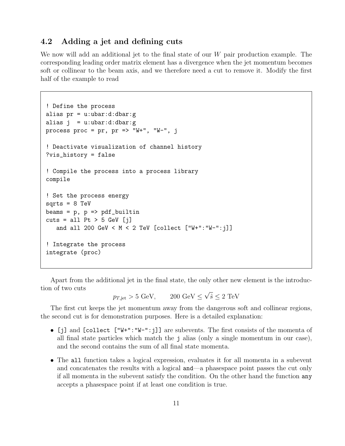## 4.2 Adding a jet and defining cuts

We now will add an additional jet to the final state of our  $W$  pair production example. The corresponding leading order matrix element has a divergence when the jet momentum becomes soft or collinear to the beam axis, and we therefore need a cut to remove it. Modify the first half of the example to read

```
! Define the process
alias pr = u:ubar:d:dbar:g
alias j = u:ubar:d:dbar:gprocess proc = pr, pr \Rightarrow "W+", "W-", j
! Deactivate visualization of channel history
?vis_history = false
! Compile the process into a process library
compile
! Set the process energy
sqrts = 8 TeV
beams = p, p => pdf\_builtincuts = all Pt > 5 GeV [i]and all 200 GeV < M < 2 TeV [collect ["W+":"W-":j]]
! Integrate the process
integrate (proc)
```
Apart from the additional jet in the final state, the only other new element is the introduction of two cuts √

 $p_{T, \text{jet}} > 5 \text{ GeV},$  200  $\text{GeV} \leq$  $\hat{s} \leq 2 \text{ TeV}$ 

The first cut keeps the jet momentum away from the dangerous soft and collinear regions, the second cut is for demonstration purposes. Here is a detailed explanation:

- [j] and [collect ["W+":"W-":j]] are subevents. The first consists of the momenta of all final state particles which match the j alias (only a single momentum in our case), and the second contains the sum of all final state momenta.
- The all function takes a logical expression, evaluates it for all momenta in a subevent and concatenates the results with a logical and—a phasespace point passes the cut only if all momenta in the subevent satisfy the condition. On the other hand the function any accepts a phasespace point if at least one condition is true.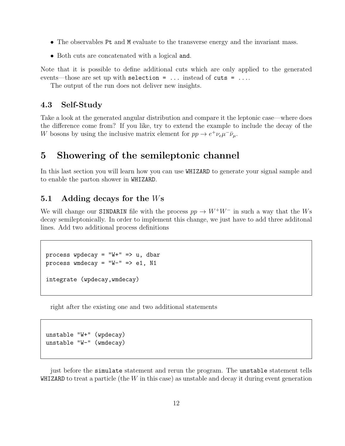- The observables Pt and M evaluate to the transverse energy and the invariant mass.
- Both cuts are concatenated with a logical and.

Note that it is possible to define additional cuts which are only applied to the generated events—those are set up with selection = ... instead of cuts = ....

The output of the run does not deliver new insights.

### 4.3 Self-Study

Take a look at the generated angular distribution and compare it the leptonic case—where does the difference come from? If you like, try to extend the example to include the decay of the W bosons by using the inclusive matrix element for  $pp \to e^+ \nu_e \mu^- \bar{\nu}_\mu$ .

## 5 Showering of the semileptonic channel

In this last section you will learn how you can use WHIZARD to generate your signal sample and to enable the parton shower in WHIZARD.

## 5.1 Adding decays for the Ws

We will change our SINDARIN file with the process  $pp \to W^+W^-$  in such a way that the Ws decay semileptonically. In order to implement this change, we just have to add three additonal lines. Add two additional process definitions

```
process wpdecay = "W+" => u, dbar
process wmdecay = W-W-W = > e1, N1
integrate (wpdecay,wmdecay)
```
right after the existing one and two additional statements

```
unstable "W+" (wpdecay)
unstable "W-" (wmdecay)
```
just before the simulate statement and rerun the program. The unstable statement tells WHIZARD to treat a particle (the  $W$  in this case) as unstable and decay it during event generation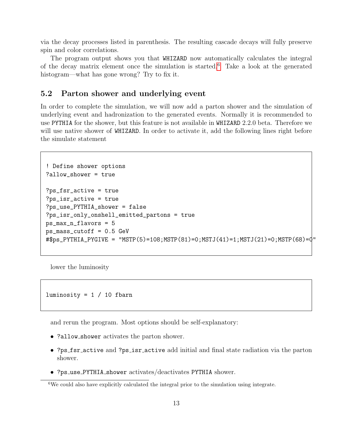via the decay processes listed in parenthesis. The resulting cascade decays will fully preserve spin and color correlations.

The program output shows you that WHIZARD now automatically calculates the integral of the decay matrix element once the simulation is started.<sup>[6](#page-12-0)</sup> Take a look at the generated histogram—what has gone wrong? Try to fix it.

### 5.2 Parton shower and underlying event

In order to complete the simulation, we will now add a parton shower and the simulation of underlying event and hadronization to the generated events. Normally it is recommended to use PYTHIA for the shower, but this feature is not available in WHIZARD 2.2.0 beta. Therefore we will use native shower of WHIZARD. In order to activate it, add the following lines right before the simulate statement

```
! Define shower options
?allow_shower = true
?ps_fsr_active = true
?ps_isr_active = true
?ps_use_PYTHIA_shower = false
?ps_isr_only_onshell_emitted_partons = true
ps_max_n_flavors = 5
ps_mass_cutoff = 0.5 GeV
#$ps_PYTHIA_PYGIVE = "MSTP(5)=108;MSTP(81)=0;MSTJ(41)=1;MSTJ(21)=0;MSTP(68)=0"
```
lower the luminosity

luminosity =  $1 / 10$  fbarn

and rerun the program. Most options should be self-explanatory:

- ?allow\_shower activates the parton shower.
- ?ps fsr active and ?ps isr active add initial and final state radiation via the parton shower.
- ?ps use PYTHIA shower activates/deactivates PYTHIA shower.

<span id="page-12-0"></span><sup>6</sup>We could also have explicitly calculated the integral prior to the simulation using integrate.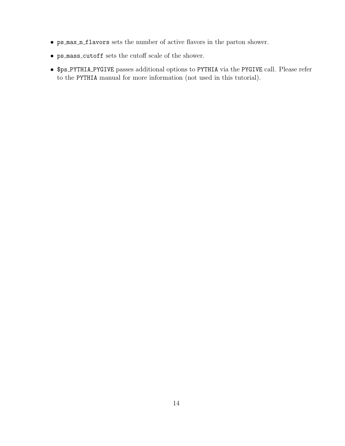- ps max n flavors sets the number of active flavors in the parton shower.
- ps mass cutoff sets the cutoff scale of the shower.
- \$ps PYTHIA PYGIVE passes additional options to PYTHIA via the PYGIVE call. Please refer to the PYTHIA manual for more information (not used in this tutorial).